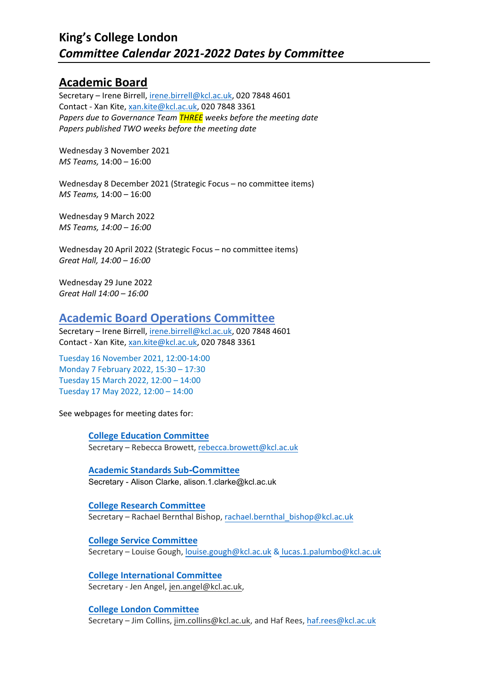## **[Academic Board](https://www.kcl.ac.uk/about/governance-policies-and-procedures/committees/academic-board/)**

Secretary – Irene Birrell, [irene.birrell@kcl.ac.uk,](mailto:irene.birrell@kcl.ac.uk) 020 7848 4601 Contact - Xan Kite, [xan.kite@kcl.ac.uk,](mailto:xan.kite@kcl.ac.uk) 020 7848 3361 *Papers due to Governance Team THREE weeks before the meeting date Papers published TWO weeks before the meeting date*

Wednesday 3 November 2021 *MS Teams,* 14:00 – 16:00

Wednesday 8 December 2021 (Strategic Focus – no committee items) *MS Teams,* 14:00 – 16:00

Wednesday 9 March 2022 *MS Teams, 14:00 – 16:00*

Wednesday 20 April 2022 (Strategic Focus – no committee items) *Great Hall, 14:00 – 16:00* 

Wednesday 29 June 2022 *Great Hall 14:00 – 16:00*

#### **Academic Board Operations Committee**

Secretary – Irene Birrell, [irene.birrell@kcl.ac.uk,](mailto:irene.birrell@kcl.ac.uk) 020 7848 4601 Contact - Xan Kite, [xan.kite@kcl.ac.uk,](mailto:xan.kite@kcl.ac.uk) 020 7848 3361

Tuesday 16 November 2021, 12:00-14:00 Monday 7 February 2022, 15:30 – 17:30 Tuesday 15 March 2022, 12:00 – 14:00 Tuesday 17 May 2022, 12:00 – 14:00

See webpages for meeting dates for:

**[College Education Committee](https://www.kcl.ac.uk/about/governance-policies-and-procedures/committees/academic-board/college-education-committee)** Secretary – Rebecca Browett, [rebecca.browett@kcl.ac.uk](mailto:rebecca.browett@kcl.ac.uk)

**[Academic Standards Sub](https://www.kcl.ac.uk/about/governance-policies-and-procedures/committees/academic-board/assc-academic-standards-subcommittee)-Committee** Secretary - Alison Clarke, alison.1.clarke@kcl.ac.uk

**College Research Committee** Secretary – [Rachael Bernthal Bis](https://www.kcl.ac.uk/about/governance-policies-and-procedures/committees/academic-board/college-service-committee)hop, rachael.bernthal\_bishop@kcl.ac.uk

**College Service Committee** Secretary – Louise Gough, [louise.gough@kcl.ac.uk](mailto:louise.gough@kcl.ac.uk) & lucas.1.palumbo@kcl.ac.uk

**College International Committee** [Secretary - Jen Angel,](https://www.kcl.ac.uk/about/governance-policies-and-procedures/committees/academic-board/college-london-committee) [jen.angel@kcl.ac.uk,](mailto:jen.angel@kcl.ac.uk) 

**College London Committee** Secretary – Jim Collins, [jim.collins@kcl.ac.uk,](mailto:jim.collins@kcl.ac.uk) and Haf Rees, haf.rees@kcl.ac.uk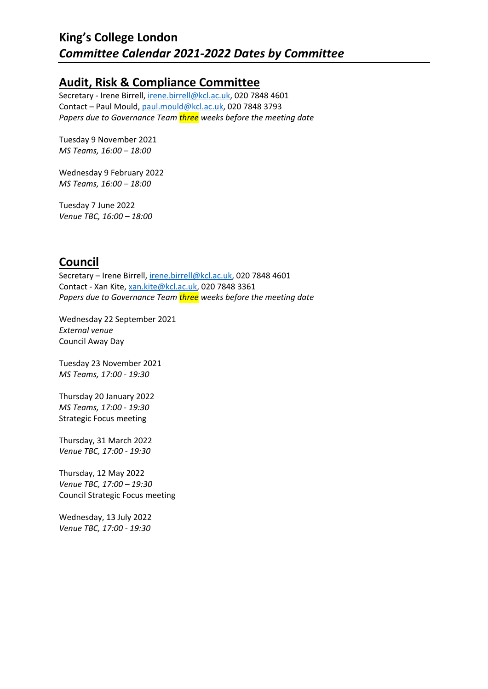## **[Audit, Risk & Compliance Committee](http://www.kcl.ac.uk/aboutkings/governance/committees/Audit/audit.aspx)**

Secretary - Irene Birrell, [irene.birrell@kcl.ac.uk,](mailto:irene.birrell@kcl.ac.uk) 020 7848 4601 Contact – Paul Mould, [paul.mould@kcl.ac.uk,](mailto:paul.mould@kcl.ac.uk) 020 7848 3793 *Papers due to Governance Team three weeks before the meeting date*

Tuesday 9 November 2021 *MS Teams, 16:00 – 18:00*

Wednesday 9 February 2022 *MS Teams, 16:00 – 18:00* 

Tuesday 7 June 2022 *Venue TBC, 16:00 – 18:00*

# **[Council](http://www.kcl.ac.uk/aboutkings/governance/council/index.aspx)**

Secretary – Irene Birrell, [irene.birrell@kcl.ac.uk,](mailto:irene.birrell@kcl.ac.uk) 020 7848 4601 Contact - Xan Kite, [xan.kite@kcl.ac.uk,](mailto:xan.kite@kcl.ac.uk) 020 7848 3361 *Papers due to Governance Team three weeks before the meeting date*

Wednesday 22 September 2021 *External venue*  Council Away Day

Tuesday 23 November 2021 *MS Teams, 17:00 - 19:30* 

Thursday 20 January 2022 *MS Teams, 17:00 - 19:30* Strategic Focus meeting

Thursday, 31 March 2022 *Venue TBC, 17:00 - 19:30* 

Thursday, 12 May 2022 *Venue TBC, 17:00 – 19:30* Council Strategic Focus meeting

Wednesday, 13 July 2022 *Venue TBC, 17:00 - 19:30*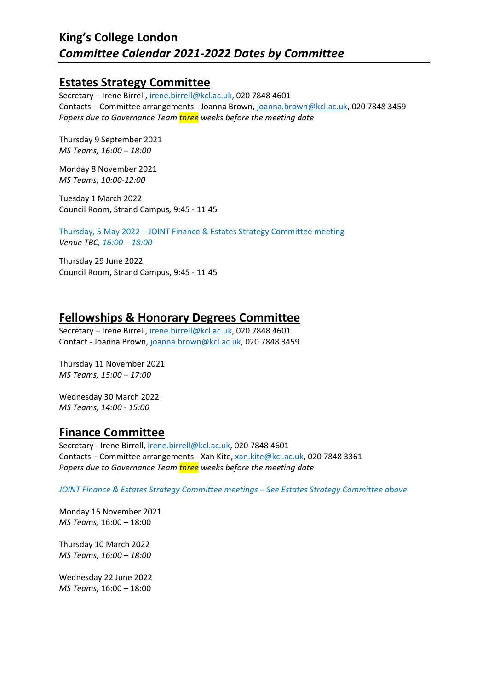### **[Estates Strategy Committee](http://www.kcl.ac.uk/aboutkings/governance/committees/Estates/estates.aspx)**

Secretary – Irene Birrell, [irene.birrell@kcl.ac.uk,](mailto:irene.birrell@kcl.ac.uk) 020 7848 4601 Contacts – Committee arrangements - Joanna Brown, [joanna.brown@kcl.ac.uk,](mailto:joanna.brown@kcl.ac.uk) 020 7848 3459 *Papers due to Governance Team three weeks before the meeting date*

Thursday 9 September 2021 *MS Teams, 16:00 – 18:00*

Monday 8 November 2021 *MS Teams, 10:00-12:00*

Tuesday 1 March 2022 Council Room, Strand Campus*,* 9:45 - 11:45

Thursday, 5 May 2022 – JOINT Finance & Estates Strategy Committee meeting *Venue TBC, 16:00 – 18:00*

Thursday 29 June 2022 Council Room, Strand Campus, 9:45 - 11:45

## **[Fellowships & Honorary Degrees Committee](http://www.kcl.ac.uk/aboutkings/governance/committees/hondegrees.aspx)**

Secretary – Irene Birrell, [irene.birrell@kcl.ac.uk,](mailto:irene.birrell@kcl.ac.uk) 020 7848 4601 Contact - Joanna Brown, [joanna.brown@kcl.ac.uk,](mailto:joanna.brown@kcl.ac.uk) 020 7848 3459

Thursday 11 November 2021 *MS Teams, 15:00 – 17:00*

Wednesday 30 March 2022 *MS Teams, 14:00 - 15:00* 

# **[Finance Committee](http://www.kcl.ac.uk/aboutkings/governance/committees/Finance/finance.aspx)**

Secretary - Irene Birrell, [irene.birrell@kcl.ac.uk,](mailto:irene.birrell@kcl.ac.uk) 020 7848 4601 Contacts – Committee arrangements - Xan Kite, [xan.kite@kcl.ac.uk,](mailto:xan.kite@kcl.ac.uk) 020 7848 3361 *Papers due to Governance Team three weeks before the meeting date*

*JOINT Finance & Estates Strategy Committee meetings – See Estates Strategy Committee above*

Monday 15 November 2021 *MS Teams,* 16:00 – 18:00

Thursday 10 March 2022 *MS Teams, 16:00 – 18:00*

Wednesday 22 June 2022 *MS Teams,* 16:00 – 18:00